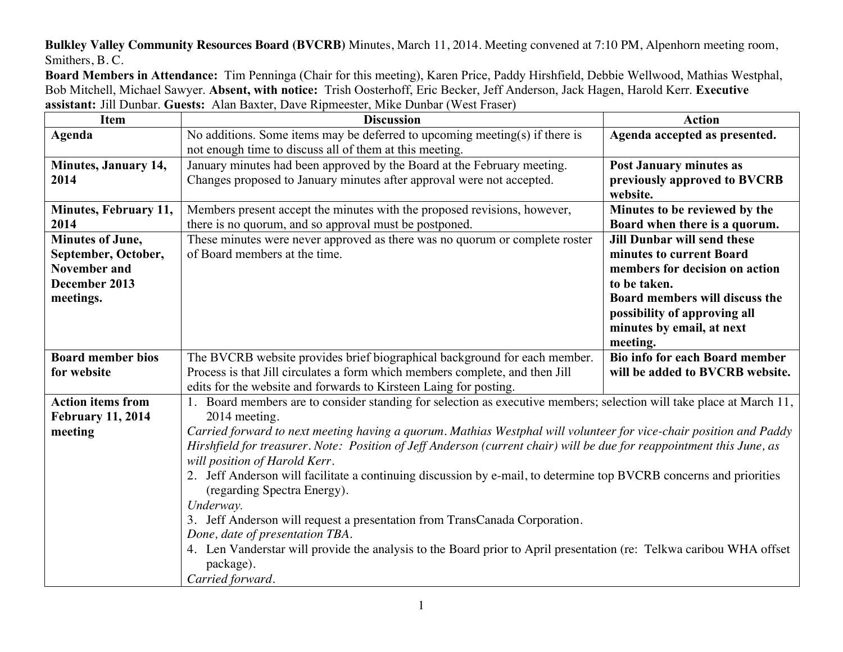**Bulkley Valley Community Resources Board (BVCRB)** Minutes, March 11, 2014. Meeting convened at 7:10 PM, Alpenhorn meeting room, Smithers, B. C.

**Board Members in Attendance:** Tim Penninga (Chair for this meeting), Karen Price, Paddy Hirshfield, Debbie Wellwood, Mathias Westphal, Bob Mitchell, Michael Sawyer. **Absent, with notice:** Trish Oosterhoff, Eric Becker, Jeff Anderson, Jack Hagen, Harold Kerr. **Executive assistant:** Jill Dunbar. **Guests:** Alan Baxter, Dave Ripmeester, Mike Dunbar (West Fraser)

| <b>Item</b>              | <b>Discussion</b>                                                                                                     | <b>Action</b>                         |  |
|--------------------------|-----------------------------------------------------------------------------------------------------------------------|---------------------------------------|--|
| Agenda                   | No additions. Some items may be deferred to upcoming meeting(s) if there is                                           | Agenda accepted as presented.         |  |
|                          | not enough time to discuss all of them at this meeting.                                                               |                                       |  |
| Minutes, January 14,     | January minutes had been approved by the Board at the February meeting.                                               | <b>Post January minutes as</b>        |  |
| 2014                     | Changes proposed to January minutes after approval were not accepted.                                                 | previously approved to BVCRB          |  |
|                          |                                                                                                                       | website.                              |  |
| Minutes, February 11,    | Members present accept the minutes with the proposed revisions, however,                                              | Minutes to be reviewed by the         |  |
| 2014                     | there is no quorum, and so approval must be postponed.                                                                | Board when there is a quorum.         |  |
| <b>Minutes of June,</b>  | These minutes were never approved as there was no quorum or complete roster                                           | <b>Jill Dunbar will send these</b>    |  |
| September, October,      | of Board members at the time.                                                                                         | minutes to current Board              |  |
| <b>November and</b>      |                                                                                                                       | members for decision on action        |  |
| December 2013            |                                                                                                                       | to be taken.                          |  |
| meetings.                |                                                                                                                       | Board members will discuss the        |  |
|                          |                                                                                                                       | possibility of approving all          |  |
|                          |                                                                                                                       | minutes by email, at next             |  |
|                          |                                                                                                                       | meeting.                              |  |
| <b>Board member bios</b> | The BVCRB website provides brief biographical background for each member.                                             | <b>Bio info for each Board member</b> |  |
| for website              | Process is that Jill circulates a form which members complete, and then Jill                                          | will be added to BVCRB website.       |  |
|                          | edits for the website and forwards to Kirsteen Laing for posting.                                                     |                                       |  |
| <b>Action items from</b> | 1. Board members are to consider standing for selection as executive members; selection will take place at March 11,  |                                       |  |
| <b>February 11, 2014</b> | 2014 meeting.                                                                                                         |                                       |  |
| meeting                  | Carried forward to next meeting having a quorum. Mathias Westphal will volunteer for vice-chair position and Paddy    |                                       |  |
|                          | Hirshfield for treasurer. Note: Position of Jeff Anderson (current chair) will be due for reappointment this June, as |                                       |  |
|                          | will position of Harold Kerr.                                                                                         |                                       |  |
|                          | 2. Jeff Anderson will facilitate a continuing discussion by e-mail, to determine top BVCRB concerns and priorities    |                                       |  |
|                          | (regarding Spectra Energy).                                                                                           |                                       |  |
|                          | Underway.                                                                                                             |                                       |  |
|                          | 3. Jeff Anderson will request a presentation from TransCanada Corporation.                                            |                                       |  |
|                          | Done, date of presentation TBA.                                                                                       |                                       |  |
|                          | 4. Len Vanderstar will provide the analysis to the Board prior to April presentation (re: Telkwa caribou WHA offset   |                                       |  |
|                          | package).                                                                                                             |                                       |  |
|                          | Carried forward.                                                                                                      |                                       |  |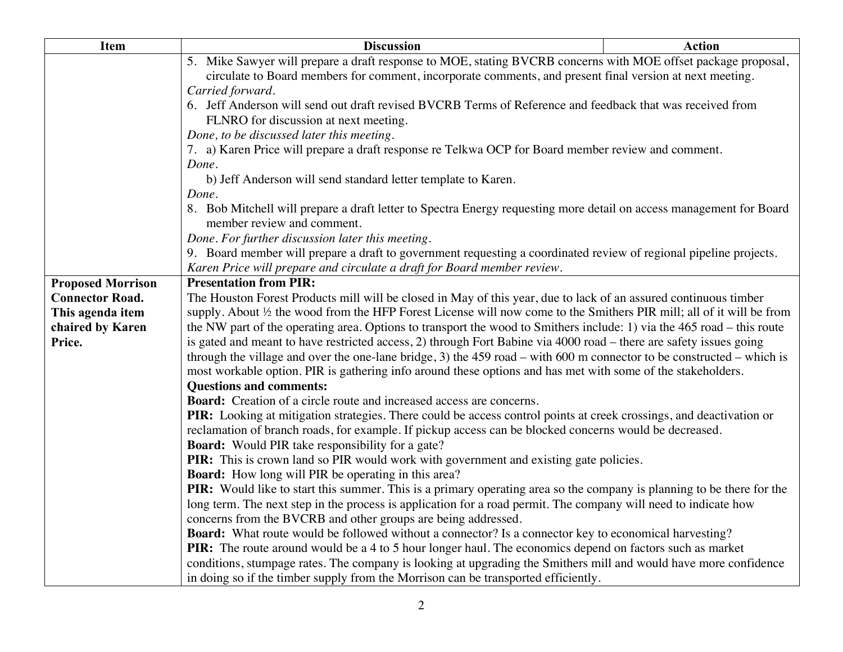| <b>Item</b>              | <b>Discussion</b>                                                                                                                                 | <b>Action</b> |  |
|--------------------------|---------------------------------------------------------------------------------------------------------------------------------------------------|---------------|--|
|                          | 5. Mike Sawyer will prepare a draft response to MOE, stating BVCRB concerns with MOE offset package proposal,                                     |               |  |
|                          | circulate to Board members for comment, incorporate comments, and present final version at next meeting.                                          |               |  |
|                          | Carried forward.                                                                                                                                  |               |  |
|                          | 6. Jeff Anderson will send out draft revised BVCRB Terms of Reference and feedback that was received from                                         |               |  |
|                          | FLNRO for discussion at next meeting.                                                                                                             |               |  |
|                          | Done, to be discussed later this meeting.                                                                                                         |               |  |
|                          | 7. a) Karen Price will prepare a draft response re Telkwa OCP for Board member review and comment.                                                |               |  |
|                          | Done.                                                                                                                                             |               |  |
|                          | b) Jeff Anderson will send standard letter template to Karen.                                                                                     |               |  |
|                          | Done.                                                                                                                                             |               |  |
|                          | 8. Bob Mitchell will prepare a draft letter to Spectra Energy requesting more detail on access management for Board<br>member review and comment. |               |  |
|                          | Done. For further discussion later this meeting.                                                                                                  |               |  |
|                          | 9. Board member will prepare a draft to government requesting a coordinated review of regional pipeline projects.                                 |               |  |
|                          | Karen Price will prepare and circulate a draft for Board member review.                                                                           |               |  |
| <b>Proposed Morrison</b> | <b>Presentation from PIR:</b>                                                                                                                     |               |  |
| <b>Connector Road.</b>   | The Houston Forest Products mill will be closed in May of this year, due to lack of an assured continuous timber                                  |               |  |
| This agenda item         | supply. About 1/2 the wood from the HFP Forest License will now come to the Smithers PIR mill; all of it will be from                             |               |  |
| chaired by Karen         | the NW part of the operating area. Options to transport the wood to Smithers include: 1) via the 465 road – this route                            |               |  |
| Price.                   | is gated and meant to have restricted access, 2) through Fort Babine via 4000 road – there are safety issues going                                |               |  |
|                          | through the village and over the one-lane bridge, 3) the 459 road – with 600 m connector to be constructed – which is                             |               |  |
|                          | most workable option. PIR is gathering info around these options and has met with some of the stakeholders.                                       |               |  |
|                          | <b>Questions and comments:</b>                                                                                                                    |               |  |
|                          | <b>Board:</b> Creation of a circle route and increased access are concerns.                                                                       |               |  |
|                          | PIR: Looking at mitigation strategies. There could be access control points at creek crossings, and deactivation or                               |               |  |
|                          | reclamation of branch roads, for example. If pickup access can be blocked concerns would be decreased.                                            |               |  |
|                          | <b>Board:</b> Would PIR take responsibility for a gate?                                                                                           |               |  |
|                          | PIR: This is crown land so PIR would work with government and existing gate policies.                                                             |               |  |
|                          | <b>Board:</b> How long will PIR be operating in this area?                                                                                        |               |  |
|                          | PIR: Would like to start this summer. This is a primary operating area so the company is planning to be there for the                             |               |  |
|                          | long term. The next step in the process is application for a road permit. The company will need to indicate how                                   |               |  |
|                          | concerns from the BVCRB and other groups are being addressed.                                                                                     |               |  |
|                          | Board: What route would be followed without a connector? Is a connector key to economical harvesting?                                             |               |  |
|                          | PIR: The route around would be a 4 to 5 hour longer haul. The economics depend on factors such as market                                          |               |  |
|                          | conditions, stumpage rates. The company is looking at upgrading the Smithers mill and would have more confidence                                  |               |  |
|                          | in doing so if the timber supply from the Morrison can be transported efficiently.                                                                |               |  |